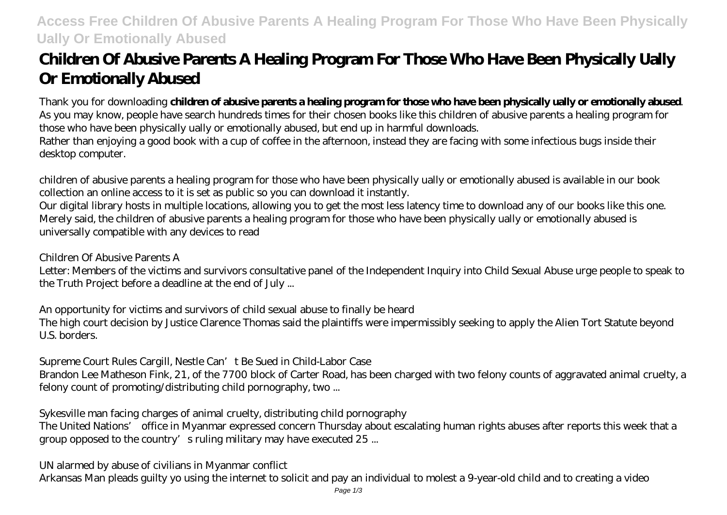## **Access Free Children Of Abusive Parents A Healing Program For Those Who Have Been Physically Ually Or Emotionally Abused**

# **Children Of Abusive Parents A Healing Program For Those Who Have Been Physically Ually Or Emotionally Abused**

Thank you for downloading **children of abusive parents a healing program for those who have been physically ually or emotionally abused**. As you may know, people have search hundreds times for their chosen books like this children of abusive parents a healing program for those who have been physically ually or emotionally abused, but end up in harmful downloads. Rather than enjoying a good book with a cup of coffee in the afternoon, instead they are facing with some infectious bugs inside their

desktop computer.

children of abusive parents a healing program for those who have been physically ually or emotionally abused is available in our book collection an online access to it is set as public so you can download it instantly.

Our digital library hosts in multiple locations, allowing you to get the most less latency time to download any of our books like this one. Merely said, the children of abusive parents a healing program for those who have been physically ually or emotionally abused is universally compatible with any devices to read

#### *Children Of Abusive Parents A*

Letter: Members of the victims and survivors consultative panel of the Independent Inquiry into Child Sexual Abuse urge people to speak to the Truth Project before a deadline at the end of July ...

#### *An opportunity for victims and survivors of child sexual abuse to finally be heard*

The high court decision by Justice Clarence Thomas said the plaintiffs were impermissibly seeking to apply the Alien Tort Statute beyond U.S. borders.

## *Supreme Court Rules Cargill, Nestle Can't Be Sued in Child-Labor Case*

Brandon Lee Matheson Fink, 21, of the 7700 block of Carter Road, has been charged with two felony counts of aggravated animal cruelty, a felony count of promoting/distributing child pornography, two ...

#### *Sykesville man facing charges of animal cruelty, distributing child pornography*

The United Nations' office in Myanmar expressed concern Thursday about escalating human rights abuses after reports this week that a group opposed to the country's ruling military may have executed 25 ...

#### *UN alarmed by abuse of civilians in Myanmar conflict*

Arkansas Man pleads guilty yo using the internet to solicit and pay an individual to molest a 9-year-old child and to creating a video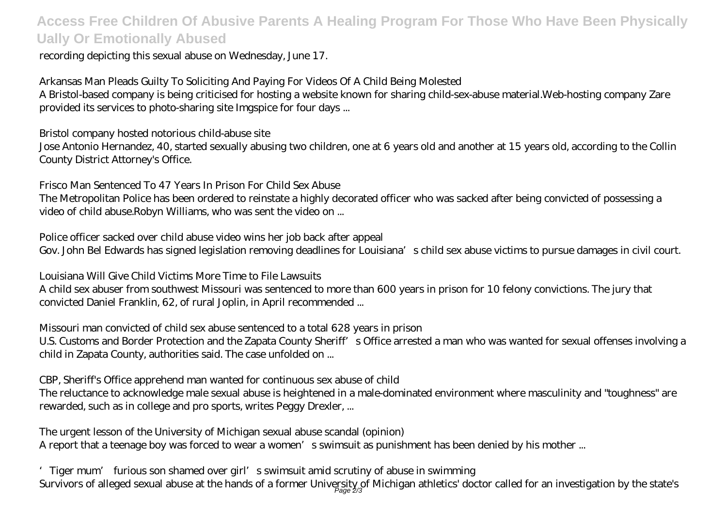## **Access Free Children Of Abusive Parents A Healing Program For Those Who Have Been Physically Ually Or Emotionally Abused**

#### recording depicting this sexual abuse on Wednesday, June 17.

## *Arkansas Man Pleads Guilty To Soliciting And Paying For Videos Of A Child Being Molested*

A Bristol-based company is being criticised for hosting a website known for sharing child-sex-abuse material.Web-hosting company Zare provided its services to photo-sharing site Imgspice for four days ...

#### *Bristol company hosted notorious child-abuse site*

Jose Antonio Hernandez, 40, started sexually abusing two children, one at 6 years old and another at 15 years old, according to the Collin County District Attorney's Office.

### *Frisco Man Sentenced To 47 Years In Prison For Child Sex Abuse*

The Metropolitan Police has been ordered to reinstate a highly decorated officer who was sacked after being convicted of possessing a video of child abuse.Robyn Williams, who was sent the video on ...

## *Police officer sacked over child abuse video wins her job back after appeal*

Gov. John Bel Edwards has signed legislation removing deadlines for Louisiana's child sex abuse victims to pursue damages in civil court.

## *Louisiana Will Give Child Victims More Time to File Lawsuits*

A child sex abuser from southwest Missouri was sentenced to more than 600 years in prison for 10 felony convictions. The jury that convicted Daniel Franklin, 62, of rural Joplin, in April recommended ...

#### *Missouri man convicted of child sex abuse sentenced to a total 628 years in prison*

U.S. Customs and Border Protection and the Zapata County Sheriff's Office arrested a man who was wanted for sexual offenses involving a child in Zapata County, authorities said. The case unfolded on ...

#### *CBP, Sheriff's Office apprehend man wanted for continuous sex abuse of child*

The reluctance to acknowledge male sexual abuse is heightened in a male-dominated environment where masculinity and "toughness" are rewarded, such as in college and pro sports, writes Peggy Drexler, ...

## *The urgent lesson of the University of Michigan sexual abuse scandal (opinion)*

A report that a teenage boy was forced to wear a women's swimsuit as punishment has been denied by his mother ...

*'Tiger mum' furious son shamed over girl's swimsuit amid scrutiny of abuse in swimming* Survivors of alleged sexual abuse at the hands of a former University of Michigan athletics' doctor called for an investigation by the state's